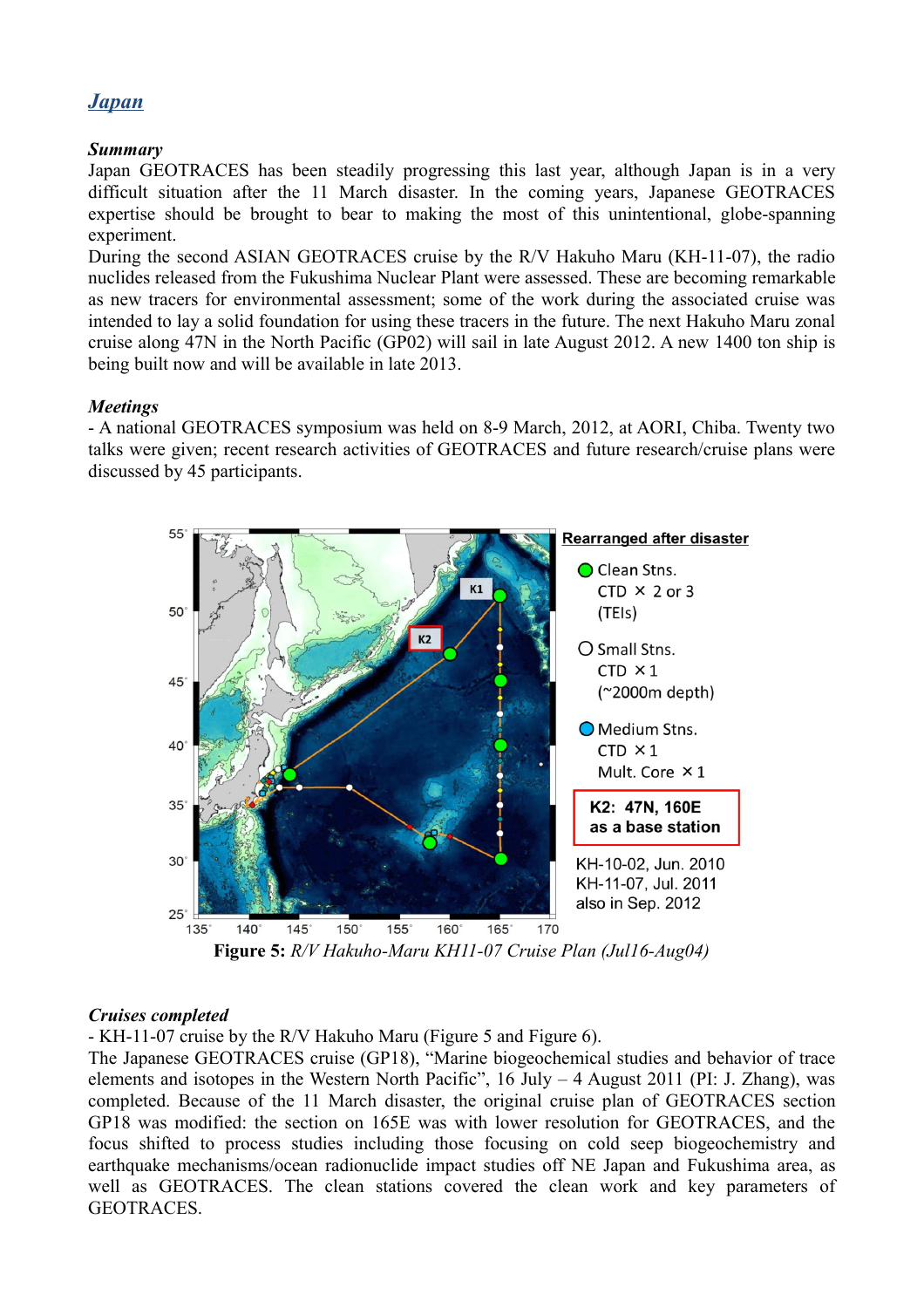# *Japan*

# *Summary*

Japan GEOTRACES has been steadily progressing this last year, although Japan is in a very difficult situation after the 11 March disaster. In the coming years, Japanese GEOTRACES expertise should be brought to bear to making the most of this unintentional, globe-spanning experiment.

During the second ASIAN GEOTRACES cruise by the R/V Hakuho Maru (KH-11-07), the radio nuclides released from the Fukushima Nuclear Plant were assessed. These are becoming remarkable as new tracers for environmental assessment; some of the work during the associated cruise was intended to lay a solid foundation for using these tracers in the future. The next Hakuho Maru zonal cruise along 47N in the North Pacific (GP02) will sail in late August 2012. A new 1400 ton ship is being built now and will be available in late 2013.

# *Meetings*

- A national GEOTRACES symposium was held on 8-9 March, 2012, at AORI, Chiba. Twenty two talks were given; recent research activities of GEOTRACES and future research/cruise plans were discussed by 45 participants.



**Figure 5:** *R/V Hakuho-Maru KH11-07 Cruise Plan (Jul16-Aug04)*

### *Cruises completed*

- KH-11-07 cruise by the R/V Hakuho Maru (Figure 5 and Figure 6).

The Japanese GEOTRACES cruise (GP18), "Marine biogeochemical studies and behavior of trace elements and isotopes in the Western North Pacific", 16 July – 4 August 2011 (PI: J. Zhang), was completed. Because of the 11 March disaster, the original cruise plan of GEOTRACES section GP18 was modified: the section on 165E was with lower resolution for GEOTRACES, and the focus shifted to process studies including those focusing on cold seep biogeochemistry and earthquake mechanisms/ocean radionuclide impact studies off NE Japan and Fukushima area, as well as GEOTRACES. The clean stations covered the clean work and key parameters of **GEOTRACES**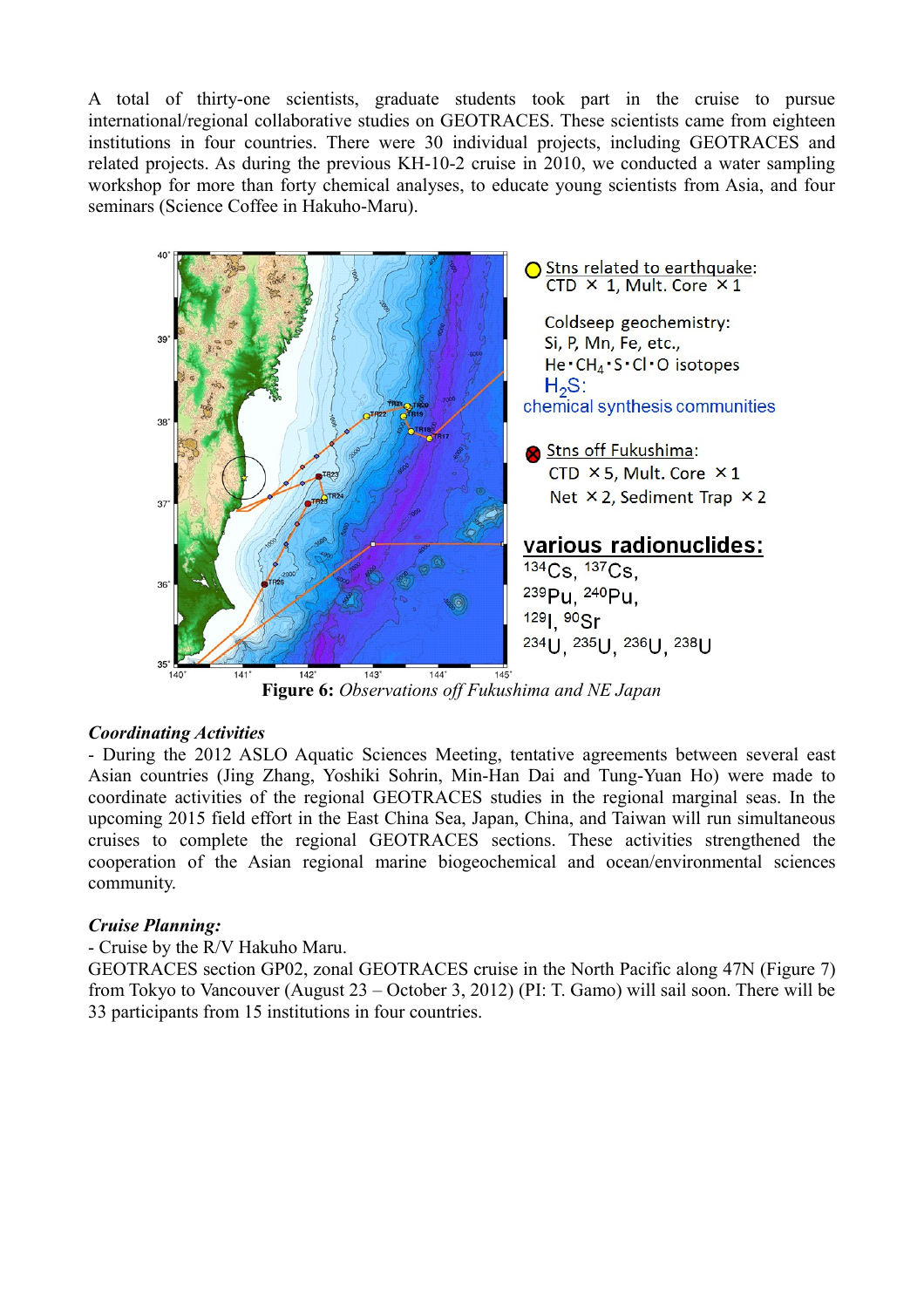A total of thirty-one scientists, graduate students took part in the cruise to pursue international/regional collaborative studies on GEOTRACES. These scientists came from eighteen institutions in four countries. There were 30 individual projects, including GEOTRACES and related projects. As during the previous KH-10-2 cruise in 2010, we conducted a water sampling workshop for more than forty chemical analyses, to educate young scientists from Asia, and four seminars (Science Coffee in Hakuho-Maru).



# **Figure 6:** *Observations off Fukushima and NE Japan*

#### *Coordinating Activities*

- During the 2012 ASLO Aquatic Sciences Meeting, tentative agreements between several east Asian countries (Jing Zhang, Yoshiki Sohrin, Min-Han Dai and Tung-Yuan Ho) were made to coordinate activities of the regional GEOTRACES studies in the regional marginal seas. In the upcoming 2015 field effort in the East China Sea, Japan, China, and Taiwan will run simultaneous cruises to complete the regional GEOTRACES sections. These activities strengthened the cooperation of the Asian regional marine biogeochemical and ocean/environmental sciences community.

### *Cruise Planning:*

- Cruise by the R/V Hakuho Maru.

GEOTRACES section GP02, zonal GEOTRACES cruise in the North Pacific along 47N (Figure 7) from Tokyo to Vancouver (August 23 – October 3, 2012) (PI: T. Gamo) will sail soon. There will be 33 participants from 15 institutions in four countries.